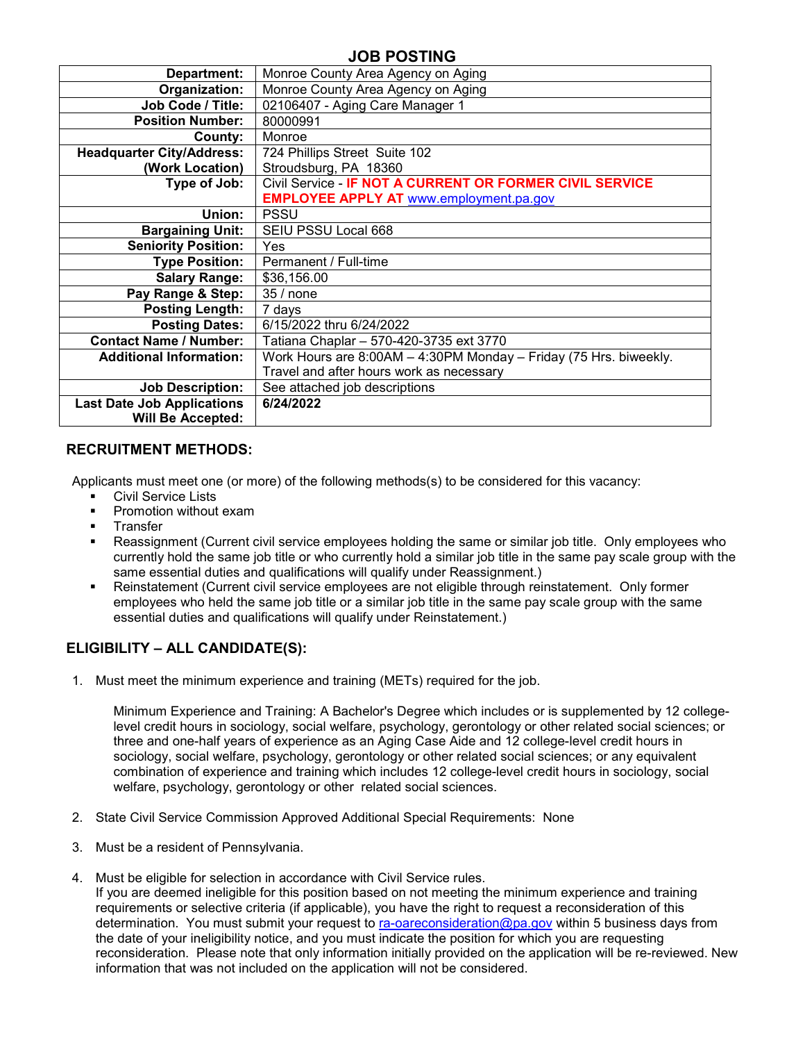## **JOB POSTING**

| Department:                       | Monroe County Area Agency on Aging                                |  |  |  |  |  |
|-----------------------------------|-------------------------------------------------------------------|--|--|--|--|--|
| Organization:                     | Monroe County Area Agency on Aging                                |  |  |  |  |  |
| Job Code / Title:                 | 02106407 - Aging Care Manager 1                                   |  |  |  |  |  |
| <b>Position Number:</b>           | 80000991                                                          |  |  |  |  |  |
| County:                           | Monroe                                                            |  |  |  |  |  |
| <b>Headquarter City/Address:</b>  | 724 Phillips Street Suite 102                                     |  |  |  |  |  |
| (Work Location)                   | Stroudsburg, PA 18360                                             |  |  |  |  |  |
| Type of Job:                      | Civil Service - IF NOT A CURRENT OR FORMER CIVIL SERVICE          |  |  |  |  |  |
|                                   | <b>EMPLOYEE APPLY AT www.employment.pa.gov</b>                    |  |  |  |  |  |
| Union:                            | <b>PSSU</b>                                                       |  |  |  |  |  |
| <b>Bargaining Unit:</b>           | SEIU PSSU Local 668                                               |  |  |  |  |  |
| <b>Seniority Position:</b>        | <b>Yes</b>                                                        |  |  |  |  |  |
| <b>Type Position:</b>             | Permanent / Full-time                                             |  |  |  |  |  |
| <b>Salary Range:</b>              | \$36,156.00                                                       |  |  |  |  |  |
| Pay Range & Step:                 | 35 / none                                                         |  |  |  |  |  |
| <b>Posting Length:</b>            | 7 days                                                            |  |  |  |  |  |
| <b>Posting Dates:</b>             | 6/15/2022 thru 6/24/2022                                          |  |  |  |  |  |
| <b>Contact Name / Number:</b>     | Tatiana Chaplar - 570-420-3735 ext 3770                           |  |  |  |  |  |
| <b>Additional Information:</b>    | Work Hours are 8:00AM - 4:30PM Monday - Friday (75 Hrs. biweekly. |  |  |  |  |  |
|                                   | Travel and after hours work as necessary                          |  |  |  |  |  |
| <b>Job Description:</b>           | See attached job descriptions                                     |  |  |  |  |  |
| <b>Last Date Job Applications</b> | 6/24/2022                                                         |  |  |  |  |  |
| <b>Will Be Accepted:</b>          |                                                                   |  |  |  |  |  |

### **RECRUITMENT METHODS:**

Applicants must meet one (or more) of the following methods(s) to be considered for this vacancy:<br>■ Civil Service Lists

- Civil Service Lists
- Promotion without exam
- **Transfer**
- Reassignment (Current civil service employees holding the same or similar job title. Only employees who currently hold the same job title or who currently hold a similar job title in the same pay scale group with the same essential duties and qualifications will qualify under Reassignment.)
- Reinstatement (Current civil service employees are not eligible through reinstatement. Only former employees who held the same job title or a similar job title in the same pay scale group with the same essential duties and qualifications will qualify under Reinstatement.)

## **ELIGIBILITY – ALL CANDIDATE(S):**

1. Must meet the minimum experience and training (METs) required for the job.

Minimum Experience and Training: A Bachelor's Degree which includes or is supplemented by 12 collegelevel credit hours in sociology, social welfare, psychology, gerontology or other related social sciences; or three and one-half years of experience as an Aging Case Aide and 12 college-level credit hours in sociology, social welfare, psychology, gerontology or other related social sciences; or any equivalent combination of experience and training which includes 12 college-level credit hours in sociology, social welfare, psychology, gerontology or other related social sciences.

- 2. State Civil Service Commission Approved Additional Special Requirements: None
- 3. Must be a resident of Pennsylvania.
- 4. Must be eligible for selection in accordance with Civil Service rules.

If you are deemed ineligible for this position based on not meeting the minimum experience and training requirements or selective criteria (if applicable), you have the right to request a reconsideration of this determination. You must submit your request to [ra-oareconsideration@pa.gov](mailto:ra-oareconsideration@pa.gov) within 5 business days from the date of your ineligibility notice, and you must indicate the position for which you are requesting reconsideration. Please note that only information initially provided on the application will be re-reviewed. New information that was not included on the application will not be considered.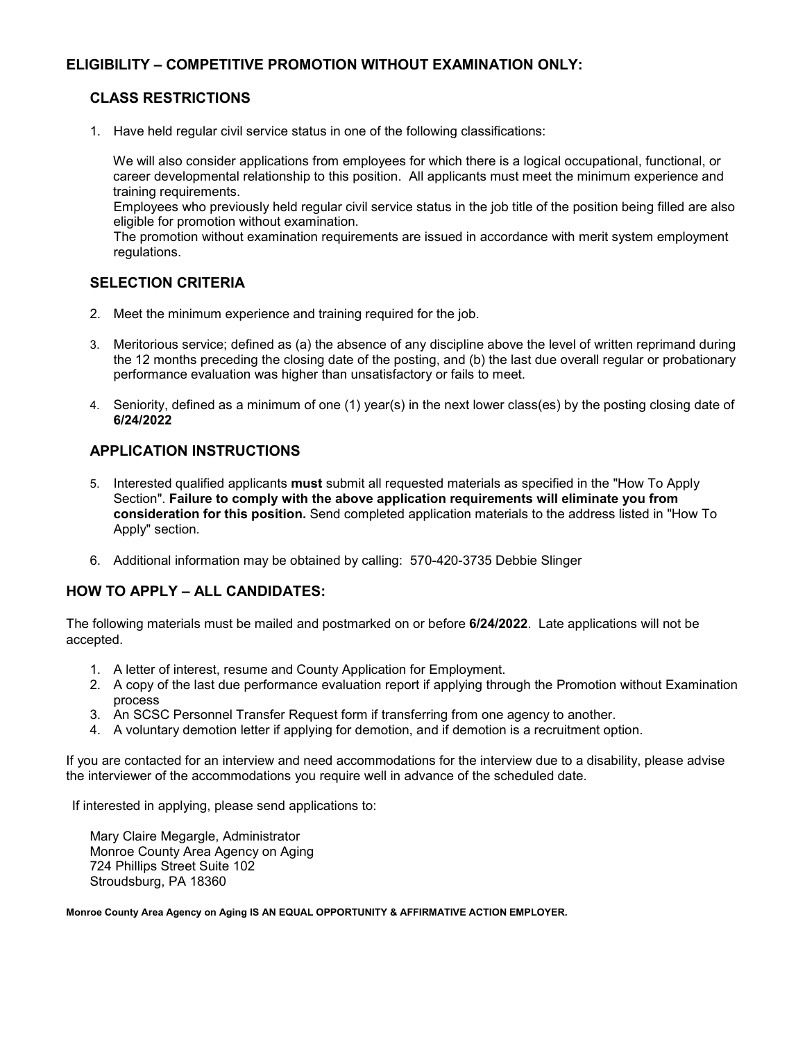## **ELIGIBILITY – COMPETITIVE PROMOTION WITHOUT EXAMINATION ONLY:**

## **CLASS RESTRICTIONS**

1. Have held regular civil service status in one of the following classifications:

We will also consider applications from employees for which there is a logical occupational, functional, or career developmental relationship to this position. All applicants must meet the minimum experience and training requirements.

Employees who previously held regular civil service status in the job title of the position being filled are also eligible for promotion without examination.

The promotion without examination requirements are issued in accordance with merit system employment regulations.

## **SELECTION CRITERIA**

- 2. Meet the minimum experience and training required for the job.
- 3. Meritorious service; defined as (a) the absence of any discipline above the level of written reprimand during the 12 months preceding the closing date of the posting, and (b) the last due overall regular or probationary performance evaluation was higher than unsatisfactory or fails to meet.
- 4. Seniority, defined as a minimum of one (1) year(s) in the next lower class(es) by the posting closing date of **6/24/2022**

## **APPLICATION INSTRUCTIONS**

- 5. Interested qualified applicants **must** submit all requested materials as specified in the "How To Apply Section". **Failure to comply with the above application requirements will eliminate you from consideration for this position.** Send completed application materials to the address listed in "How To Apply" section.
- 6. Additional information may be obtained by calling: 570-420-3735 Debbie Slinger

## **HOW TO APPLY – ALL CANDIDATES:**

The following materials must be mailed and postmarked on or before **6/24/2022**. Late applications will not be accepted.

- 1. A letter of interest, resume and County Application for Employment.
- 2. A copy of the last due performance evaluation report if applying through the Promotion without Examination process
- 3. An SCSC Personnel Transfer Request form if transferring from one agency to another.
- 4. A voluntary demotion letter if applying for demotion, and if demotion is a recruitment option.

If you are contacted for an interview and need accommodations for the interview due to a disability, please advise the interviewer of the accommodations you require well in advance of the scheduled date.

If interested in applying, please send applications to:

Mary Claire Megargle, Administrator Monroe County Area Agency on Aging 724 Phillips Street Suite 102 Stroudsburg, PA 18360

**Monroe County Area Agency on Aging IS AN EQUAL OPPORTUNITY & AFFIRMATIVE ACTION EMPLOYER.**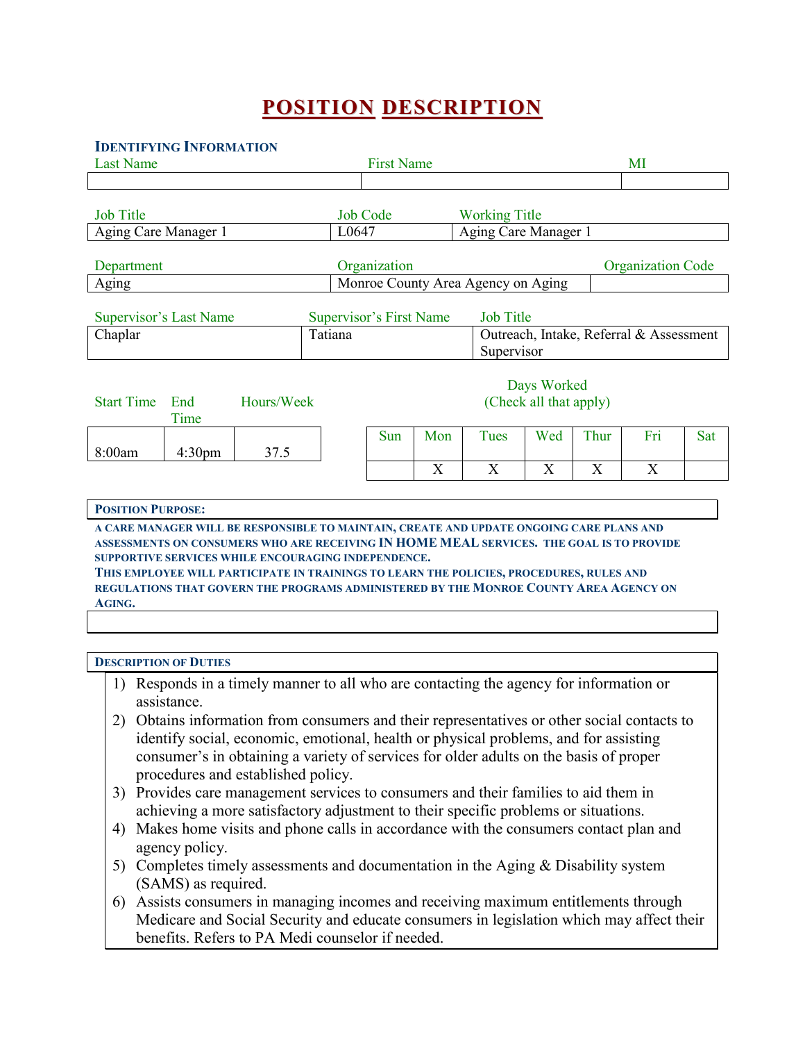# **POSITION DESCRIPTION**

### **IDENTIFYING INFORMATION**

| <b>Last Name</b>                                                                                                                                       |                               |            | <b>First Name</b> |                                    |     |                                       | MI                   |                                         |      |                          |     |
|--------------------------------------------------------------------------------------------------------------------------------------------------------|-------------------------------|------------|-------------------|------------------------------------|-----|---------------------------------------|----------------------|-----------------------------------------|------|--------------------------|-----|
|                                                                                                                                                        |                               |            |                   |                                    |     |                                       |                      |                                         |      |                          |     |
| <b>Job Title</b>                                                                                                                                       |                               |            |                   | <b>Job Code</b>                    |     |                                       | <b>Working Title</b> |                                         |      |                          |     |
| Aging Care Manager 1                                                                                                                                   |                               |            | L0647             |                                    |     |                                       | Aging Care Manager 1 |                                         |      |                          |     |
| Department                                                                                                                                             |                               |            |                   | Organization                       |     |                                       |                      |                                         |      | <b>Organization Code</b> |     |
| Aging                                                                                                                                                  |                               |            |                   | Monroe County Area Agency on Aging |     |                                       |                      |                                         |      |                          |     |
|                                                                                                                                                        | <b>Supervisor's Last Name</b> |            |                   | <b>Supervisor's First Name</b>     |     |                                       | <b>Job Title</b>     |                                         |      |                          |     |
| Chaplar                                                                                                                                                |                               |            | Tatiana           | Supervisor                         |     |                                       |                      | Outreach, Intake, Referral & Assessment |      |                          |     |
| <b>Start Time</b>                                                                                                                                      | End<br>Time                   | Hours/Week |                   |                                    |     | Days Worked<br>(Check all that apply) |                      |                                         |      |                          |     |
| 8:00am                                                                                                                                                 | 4:30 <sub>pm</sub>            | 37.5       |                   | Sun                                | Mon |                                       | <b>Tues</b>          | Wed                                     | Thur | Fri                      | Sat |
|                                                                                                                                                        |                               |            |                   |                                    | X   |                                       | X                    | X                                       | X    | X                        |     |
|                                                                                                                                                        |                               |            |                   |                                    |     |                                       |                      |                                         |      |                          |     |
| <b>POSITION PURPOSE:</b>                                                                                                                               |                               |            |                   |                                    |     |                                       |                      |                                         |      |                          |     |
| A CARE MANAGER WILL BE RESPONSIBLE TO MAINTAIN, CREATE AND UPDATE ONGOING CARE PLANS AND                                                               |                               |            |                   |                                    |     |                                       |                      |                                         |      |                          |     |
| ASSESSMENTS ON CONSUMERS WHO ARE RECEIVING IN HOME MEAL SERVICES. THE GOAL IS TO PROVIDE                                                               |                               |            |                   |                                    |     |                                       |                      |                                         |      |                          |     |
| <b>SUPPORTIVE SERVICES WHILE ENCOURAGING INDEPENDENCE.</b><br>THIS EMPLOYEE WILL PARTICIPATE IN TRAININGS TO LEARN THE POLICIES, PROCEDURES, RULES AND |                               |            |                   |                                    |     |                                       |                      |                                         |      |                          |     |
| REGULATIONS THAT GOVERN THE PROGRAMS ADMINISTERED BY THE MONROE COUNTY AREA AGENCY ON<br>AGING.                                                        |                               |            |                   |                                    |     |                                       |                      |                                         |      |                          |     |
|                                                                                                                                                        |                               |            |                   |                                    |     |                                       |                      |                                         |      |                          |     |

#### **DESCRIPTION OF DUTIES**

- 1) Responds in a timely manner to all who are contacting the agency for information or assistance.
- 2) Obtains information from consumers and their representatives or other social contacts to identify social, economic, emotional, health or physical problems, and for assisting consumer's in obtaining a variety of services for older adults on the basis of proper procedures and established policy.
- 3) Provides care management services to consumers and their families to aid them in achieving a more satisfactory adjustment to their specific problems or situations.
- 4) Makes home visits and phone calls in accordance with the consumers contact plan and agency policy.
- 5) Completes timely assessments and documentation in the Aging & Disability system (SAMS) as required.
- 6) Assists consumers in managing incomes and receiving maximum entitlements through Medicare and Social Security and educate consumers in legislation which may affect their benefits. Refers to PA Medi counselor if needed.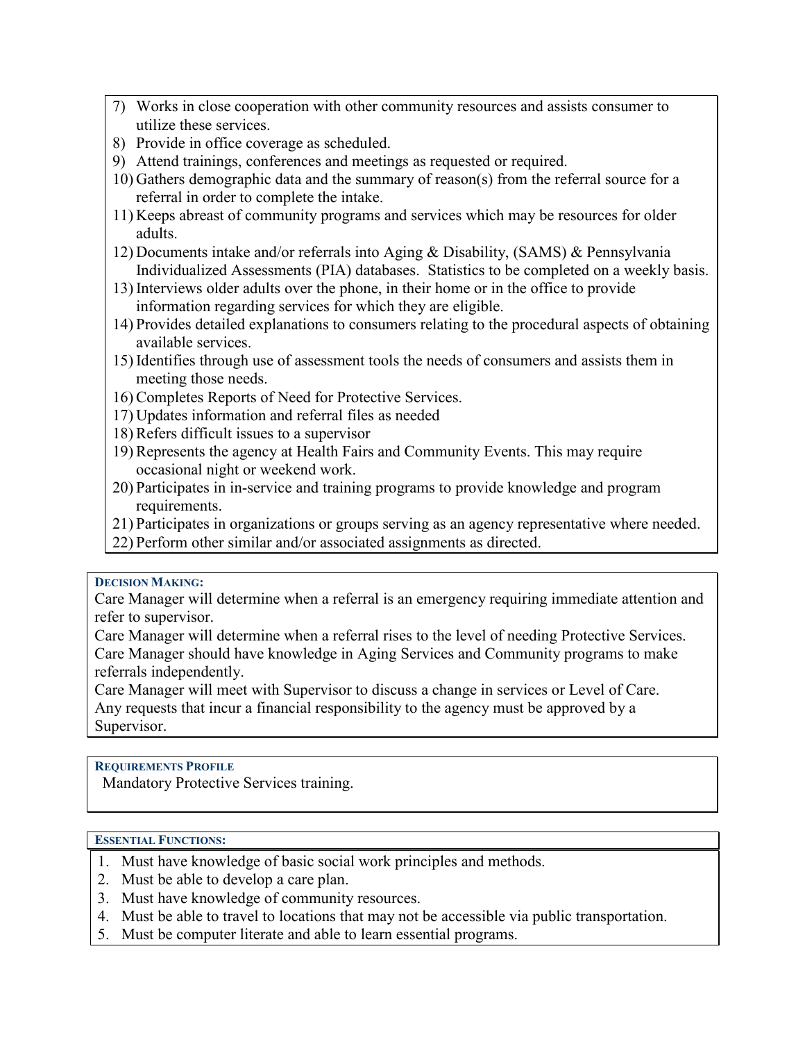- 7) Works in close cooperation with other community resources and assists consumer to utilize these services.
- 8) Provide in office coverage as scheduled.
- 9) Attend trainings, conferences and meetings as requested or required.
- 10) Gathers demographic data and the summary of reason(s) from the referral source for a referral in order to complete the intake.
- 11) Keeps abreast of community programs and services which may be resources for older adults.
- 12) Documents intake and/or referrals into Aging & Disability, (SAMS) & Pennsylvania Individualized Assessments (PIA) databases. Statistics to be completed on a weekly basis.
- 13) Interviews older adults over the phone, in their home or in the office to provide information regarding services for which they are eligible.
- 14) Provides detailed explanations to consumers relating to the procedural aspects of obtaining available services.
- 15) Identifies through use of assessment tools the needs of consumers and assists them in meeting those needs.
- 16) Completes Reports of Need for Protective Services.
- 17) Updates information and referral files as needed
- 18) Refers difficult issues to a supervisor
- 19) Represents the agency at Health Fairs and Community Events. This may require occasional night or weekend work.
- 20) Participates in in-service and training programs to provide knowledge and program requirements.
- 21) Participates in organizations or groups serving as an agency representative where needed.
- 22) Perform other similar and/or associated assignments as directed.

### **DECISION MAKING:**

Care Manager will determine when a referral is an emergency requiring immediate attention and refer to supervisor.

Care Manager will determine when a referral rises to the level of needing Protective Services. Care Manager should have knowledge in Aging Services and Community programs to make referrals independently.

Care Manager will meet with Supervisor to discuss a change in services or Level of Care. Any requests that incur a financial responsibility to the agency must be approved by a Supervisor.

### **REQUIREMENTS PROFILE**

Mandatory Protective Services training.

## **ESSENTIAL FUNCTIONS:**

- 1. Must have knowledge of basic social work principles and methods.
- 2. Must be able to develop a care plan.
- 3. Must have knowledge of community resources.
- 4. Must be able to travel to locations that may not be accessible via public transportation.
- 5. Must be computer literate and able to learn essential programs.